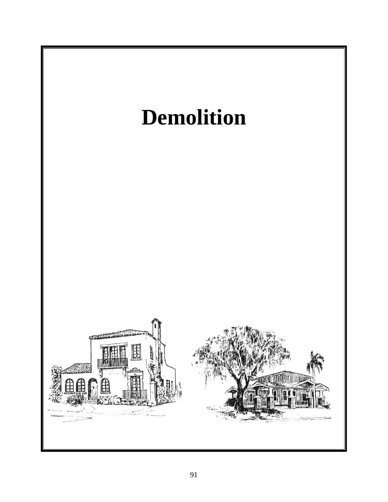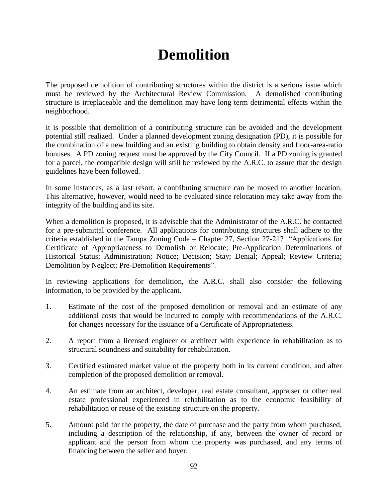## **Demolition**

The proposed demolition of contributing structures within the district is a serious issue which must be reviewed by the Architectural Review Commission. A demolished contributing structure is irreplaceable and the demolition may have long term detrimental effects within the neighborhood.

It is possible that demolition of a contributing structure can be avoided and the development potential still realized. Under a planned development zoning designation (PD), it is possible for the combination of a new building and an existing building to obtain density and floor-area-ratio bonuses. A PD zoning request must be approved by the City Council. If a PD zoning is granted for a parcel, the compatible design will still be reviewed by the A.R.C. to assure that the design guidelines have been followed.

In some instances, as a last resort, a contributing structure can be moved to another location. This alternative, however, would need to be evaluated since relocation may take away from the integrity of the building and its site.

When a demolition is proposed, it is advisable that the Administrator of the A.R.C. be contacted for a pre-submittal conference. All applications for contributing structures shall adhere to the criteria established in the Tampa Zoning Code – Chapter 27, Section 27-217 "Applications for Certificate of Appropriateness to Demolish or Relocate; Pre-Application Determinations of Historical Status; Administration; Notice; Decision; Stay; Denial; Appeal; Review Criteria; Demolition by Neglect; Pre-Demolition Requirements".

In reviewing applications for demolition, the A.R.C. shall also consider the following information, to be provided by the applicant.

- 1. Estimate of the cost of the proposed demolition or removal and an estimate of any additional costs that would be incurred to comply with recommendations of the A.R.C. for changes necessary for the issuance of a Certificate of Appropriateness.
- 2. A report from a licensed engineer or architect with experience in rehabilitation as to structural soundness and suitability for rehabilitation.
- 3. Certified estimated market value of the property both in its current condition, and after completion of the proposed demolition or removal.
- 4. An estimate from an architect, developer, real estate consultant, appraiser or other real estate professional experienced in rehabilitation as to the economic feasibility of rehabilitation or reuse of the existing structure on the property.
- 5. Amount paid for the property, the date of purchase and the party from whom purchased, including a description of the relationship, if any, between the owner of record or applicant and the person from whom the property was purchased, and any terms of financing between the seller and buyer.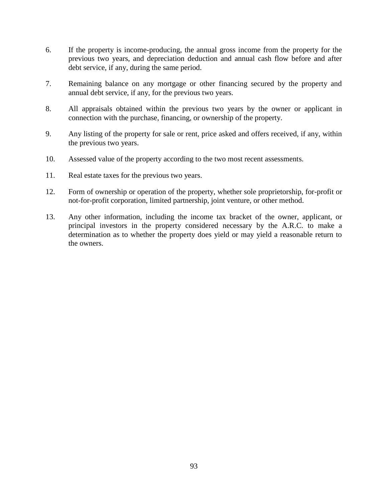- 6. If the property is income-producing, the annual gross income from the property for the previous two years, and depreciation deduction and annual cash flow before and after debt service, if any, during the same period.
- 7. Remaining balance on any mortgage or other financing secured by the property and annual debt service, if any, for the previous two years.
- 8. All appraisals obtained within the previous two years by the owner or applicant in connection with the purchase, financing, or ownership of the property.
- 9. Any listing of the property for sale or rent, price asked and offers received, if any, within the previous two years.
- 10. Assessed value of the property according to the two most recent assessments.
- 11. Real estate taxes for the previous two years.
- 12. Form of ownership or operation of the property, whether sole proprietorship, for-profit or not-for-profit corporation, limited partnership, joint venture, or other method.
- 13. Any other information, including the income tax bracket of the owner, applicant, or principal investors in the property considered necessary by the A.R.C. to make a determination as to whether the property does yield or may yield a reasonable return to the owners.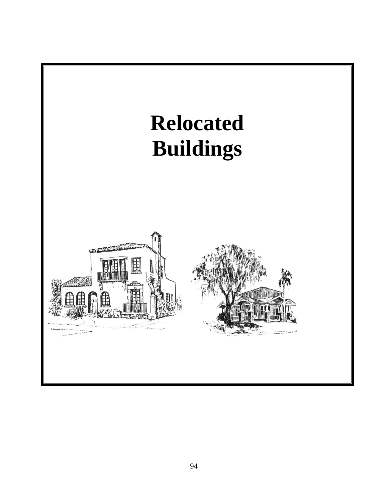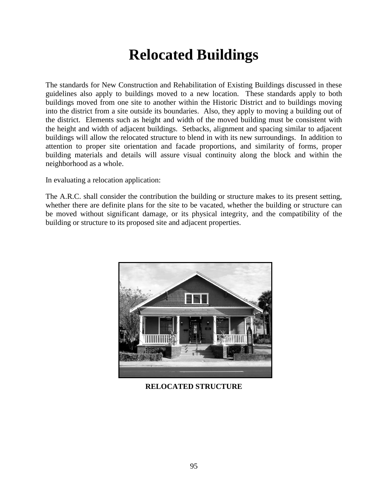## **Relocated Buildings**

The standards for New Construction and Rehabilitation of Existing Buildings discussed in these guidelines also apply to buildings moved to a new location. These standards apply to both buildings moved from one site to another within the Historic District and to buildings moving into the district from a site outside its boundaries. Also, they apply to moving a building out of the district. Elements such as height and width of the moved building must be consistent with the height and width of adjacent buildings. Setbacks, alignment and spacing similar to adjacent buildings will allow the relocated structure to blend in with its new surroundings. In addition to attention to proper site orientation and facade proportions, and similarity of forms, proper building materials and details will assure visual continuity along the block and within the neighborhood as a whole.

In evaluating a relocation application:

The A.R.C. shall consider the contribution the building or structure makes to its present setting, whether there are definite plans for the site to be vacated, whether the building or structure can be moved without significant damage, or its physical integrity, and the compatibility of the building or structure to its proposed site and adjacent properties.



**RELOCATED STRUCTURE**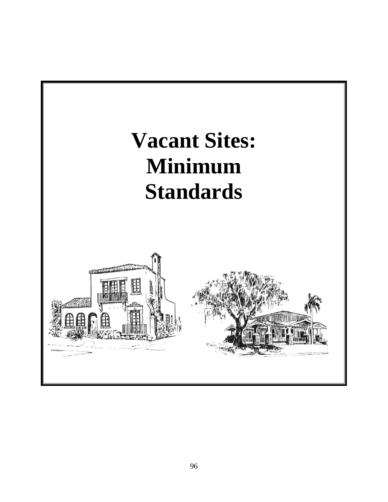